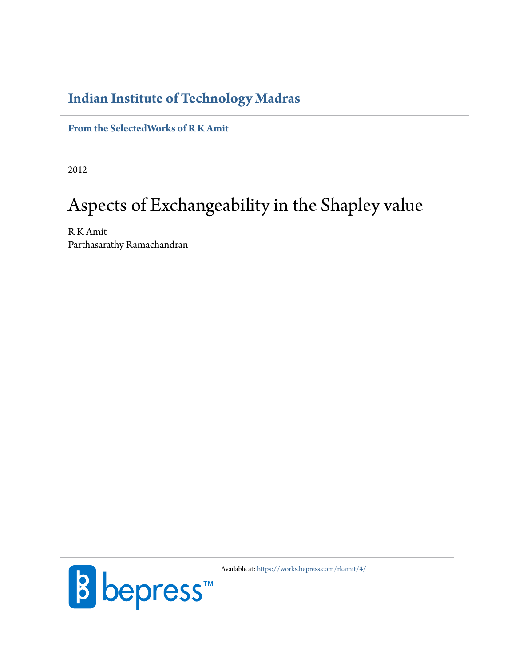# **Indian Institute of Technology Madras**

**[From the SelectedWorks of R K Amit](https://works.bepress.com/rkamit/)**

2012

# Aspects of Exchangeability in the Shapley value

R K Amit Parthasarathy Ramachandran



Available at: <https://works.bepress.com/rkamit/4/>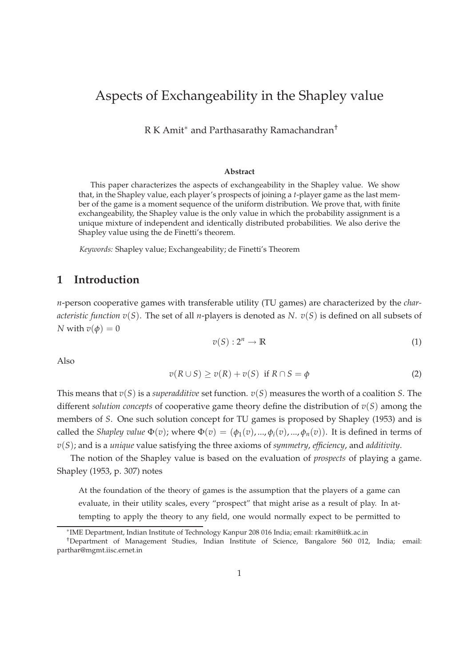# Aspects of Exchangeability in the Shapley value

R K Amit<sup>∗</sup> and Parthasarathy Ramachandran†

#### **Abstract**

This paper characterizes the aspects of exchangeability in the Shapley value. We show that, in the Shapley value, each player's prospects of joining a *t*-player game as the last member of the game is a moment sequence of the uniform distribution. We prove that, with finite exchangeability, the Shapley value is the only value in which the probability assignment is a unique mixture of independent and identically distributed probabilities. We also derive the Shapley value using the de Finetti's theorem.

*Keywords:* Shapley value; Exchangeability; de Finetti's Theorem

## **1 Introduction**

*n*-person cooperative games with transferable utility (TU games) are characterized by the *characteristic function v*(*S*). The set of all *n*-players is denoted as *N*. *v*(*S*) is defined on all subsets of *N* with  $v(\phi) = 0$ 

$$
v(S): 2^n \to \mathbb{R} \tag{1}
$$

Also

$$
v(R \cup S) \ge v(R) + v(S) \text{ if } R \cap S = \phi \tag{2}
$$

This means that *v*(*S*) is a *superadditive* set function. *v*(*S*) measures the worth of a coalition *S*. The different *solution concepts* of cooperative game theory define the distribution of *v*(*S*) among the members of *S*. One such solution concept for TU games is proposed by Shapley (1953) and is called the *Shapley value*  $\Phi(v)$ ; where  $\Phi(v) = (\phi_1(v), ..., \phi_i(v), ..., \phi_n(v))$ . It is defined in terms of *v*(*S*); and is a *unique* value satisfying the three axioms of *symmetry*, *efficiency*, and *additivity*.

The notion of the Shapley value is based on the evaluation of *prospects* of playing a game. Shapley (1953, p. 307) notes

At the foundation of the theory of games is the assumption that the players of a game can evaluate, in their utility scales, every "prospect" that might arise as a result of play. In attempting to apply the theory to any field, one would normally expect to be permitted to

<sup>∗</sup> IME Department, Indian Institute of Technology Kanpur 208 016 India; email: rkamit@iitk.ac.in

<sup>†</sup>Department of Management Studies, Indian Institute of Science, Bangalore 560 012, India; email: parthar@mgmt.iisc.ernet.in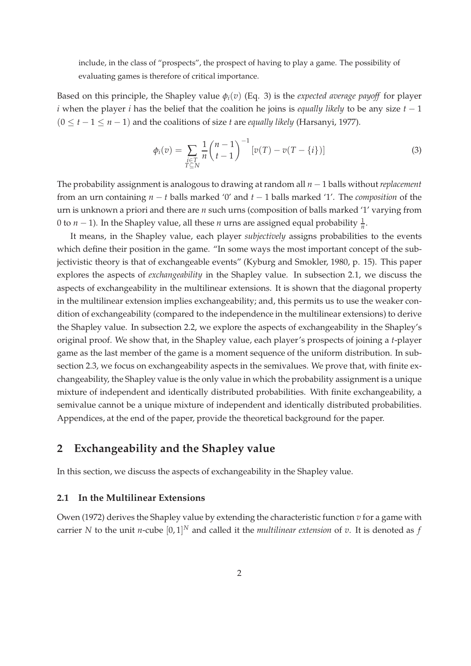include, in the class of "prospects", the prospect of having to play a game. The possibility of evaluating games is therefore of critical importance.

Based on this principle, the Shapley value  $\phi_i(v)$  (Eq. 3) is the *expected average payoff* for player *i* when the player *i* has the belief that the coalition he joins is *equally likely* to be any size *t* − 1  $(0 \le t - 1 \le n - 1)$  and the coalitions of size *t* are *equally likely* (Harsanyi, 1977).

$$
\phi_i(v) = \sum_{\substack{i \in T \\ T \subseteq N}} \frac{1}{n} {n-1 \choose t-1}^{-1} [v(T) - v(T - \{i\})]
$$
\n(3)

The probability assignment is analogous to drawing at random all *n* − 1 balls without *replacement* from an urn containing *n* − *t* balls marked '0' and *t* − 1 balls marked '1'. The *composition* of the urn is unknown a priori and there are *n* such urns (composition of balls marked '1' varying from 0 to  $n-1$ ). In the Shapley value, all these  $n$  urns are assigned equal probability  $\frac{1}{n}$ .

It means, in the Shapley value, each player *subjectively* assigns probabilities to the events which define their position in the game. "In some ways the most important concept of the subjectivistic theory is that of exchangeable events" (Kyburg and Smokler, 1980, p. 15). This paper explores the aspects of *exchangeability* in the Shapley value. In subsection 2.1, we discuss the aspects of exchangeability in the multilinear extensions. It is shown that the diagonal property in the multilinear extension implies exchangeability; and, this permits us to use the weaker condition of exchangeability (compared to the independence in the multilinear extensions) to derive the Shapley value. In subsection 2.2, we explore the aspects of exchangeability in the Shapley's original proof. We show that, in the Shapley value, each player's prospects of joining a *t*-player game as the last member of the game is a moment sequence of the uniform distribution. In subsection 2.3, we focus on exchangeability aspects in the semivalues. We prove that, with finite exchangeability, the Shapley value is the only value in which the probability assignment is a unique mixture of independent and identically distributed probabilities. With finite exchangeability, a semivalue cannot be a unique mixture of independent and identically distributed probabilities. Appendices, at the end of the paper, provide the theoretical background for the paper.

# **2 Exchangeability and the Shapley value**

In this section, we discuss the aspects of exchangeability in the Shapley value.

#### **2.1 In the Multilinear Extensions**

Owen (1972) derives the Shapley value by extending the characteristic function *v* for a game with carrier *N* to the unit *n*-cube [0, 1] *<sup>N</sup>* and called it the *multilinear extension* of *v*. It is denoted as *f*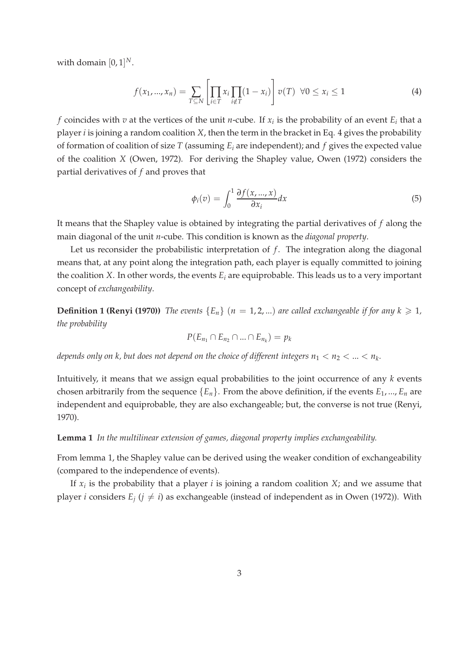with domain  $[0,1]^N$ .

$$
f(x_1, ..., x_n) = \sum_{T \subseteq N} \left[ \prod_{i \in T} x_i \prod_{i \notin T} (1 - x_i) \right] v(T) \ \forall 0 \le x_i \le 1 \tag{4}
$$

*f* coincides with *v* at the vertices of the unit *n*-cube. If  $x_i$  is the probability of an event  $E_i$  that a player *i* is joining a random coalition *X*, then the term in the bracket in Eq. 4 gives the probability of formation of coalition of size *T* (assuming *E<sup>i</sup>* are independent); and *f* gives the expected value of the coalition *X* (Owen, 1972). For deriving the Shapley value, Owen (1972) considers the partial derivatives of *f* and proves that

$$
\phi_i(v) = \int_0^1 \frac{\partial f(x, ..., x)}{\partial x_i} dx \tag{5}
$$

It means that the Shapley value is obtained by integrating the partial derivatives of *f* along the main diagonal of the unit *n*-cube. This condition is known as the *diagonal property*.

Let us reconsider the probabilistic interpretation of  $f$ . The integration along the diagonal means that, at any point along the integration path, each player is equally committed to joining the coalition *X*. In other words, the events *E<sup>i</sup>* are equiprobable. This leads us to a very important concept of *exchangeability*.

**Definition 1 (Renyi (1970))** *The events*  ${E_n}$  ( $n = 1, 2, ...$ ) *are called exchangeable if for any*  $k \ge 1$ *, the probability*

$$
P(E_{n_1} \cap E_{n_2} \cap ... \cap E_{n_k}) = p_k
$$

*depends only on k, but does not depend on the choice of different integers*  $n_1 < n_2 < ... < n_k$ *.* 

Intuitively, it means that we assign equal probabilities to the joint occurrence of any *k* events chosen arbitrarily from the sequence  ${E_n}$ . From the above definition, if the events  $E_1$ , ...,  $E_n$  are independent and equiprobable, they are also exchangeable; but, the converse is not true (Renyi, 1970).

**Lemma 1** *In the multilinear extension of games, diagonal property implies exchangeability.*

From lemma 1, the Shapley value can be derived using the weaker condition of exchangeability (compared to the independence of events).

If *x<sup>i</sup>* is the probability that a player *i* is joining a random coalition *X*; and we assume that player *i* considers  $E_j$  ( $j \neq i$ ) as exchangeable (instead of independent as in Owen (1972)). With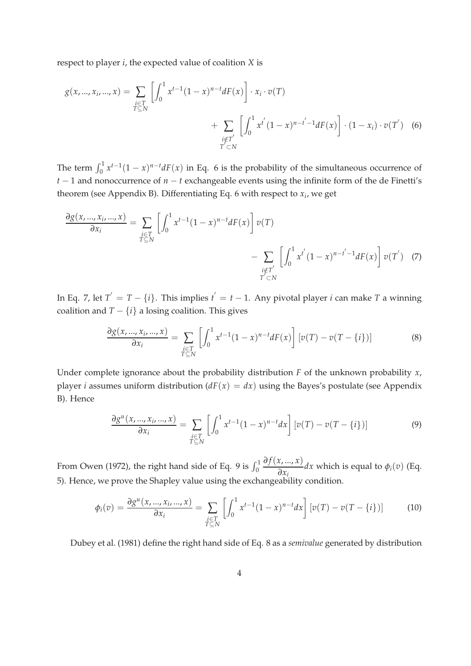respect to player *i*, the expected value of coalition *X* is

$$
g(x, ..., x_i, ..., x) = \sum_{\substack{i \in T \\ T \subseteq N}} \left[ \int_0^1 x^{t-1} (1-x)^{n-t} dF(x) \right] \cdot x_i \cdot v(T)
$$
  
+ 
$$
\sum_{\substack{i \notin T' \\ T' \subseteq N}} \left[ \int_0^1 x^{t'} (1-x)^{n-t'} dF(x) \right] \cdot (1-x_i) \cdot v(T')
$$
 (6)

The term  $\int_0^1 x^{t-1}(1-x)^{n-t}dF(x)$  in Eq. 6 is the probability of the simultaneous occurrence of *t* − 1 and nonoccurrence of *n* − *t* exchangeable events using the infinite form of the de Finetti's theorem (see Appendix B). Differentiating Eq. 6 with respect to *x<sup>i</sup>* , we get

$$
\frac{\partial g(x, ..., x_i, ..., x)}{\partial x_i} = \sum_{\substack{i \in T \\ T \subseteq N}} \left[ \int_0^1 x^{t-1} (1-x)^{n-t} dF(x) \right] v(T)
$$

$$
- \sum_{\substack{i \notin T' \\ T \subseteq N}} \left[ \int_0^1 x^{t'} (1-x)^{n-t'} dF(x) \right] v(T') \quad (7)
$$

In Eq. 7, let  $T^{'} = T - \{i\}$ . This implies  $t^{'} = t - 1$ . Any pivotal player *i* can make *T* a winning coalition and  $T - \{i\}$  a losing coalition. This gives

$$
\frac{\partial g(x,\ldots,x_i,\ldots,x)}{\partial x_i} = \sum_{\substack{i\in T\\T\subseteq N}} \left[ \int_0^1 x^{t-1}(1-x)^{n-t} dF(x) \right] \left[ v(T) - v(T-\{i\}) \right] \tag{8}
$$

Under complete ignorance about the probability distribution *F* of the unknown probability *x*, player *i* assumes uniform distribution  $(dF(x) = dx)$  using the Bayes's postulate (see Appendix B). Hence

$$
\frac{\partial g^u(x,\ldots,x_i,\ldots,x)}{\partial x_i} = \sum_{\substack{i\in T\\T\subseteq N}} \left[ \int_0^1 x^{t-1}(1-x)^{n-t} dx \right] \left[ v(T) - v(T-\{i\}) \right] \tag{9}
$$

From Owen (1972), the right hand side of Eq. 9 is  $\int_0^1$ *∂ f*(*x*, ..., *x*)  $\frac{\partial}{\partial x_i}dx$  which is equal to  $\phi_i(v)$  (Eq. 5). Hence, we prove the Shapley value using the exchangeability condition.

$$
\phi_i(v) = \frac{\partial g^u(x, ..., x_i, ..., x)}{\partial x_i} = \sum_{\substack{i \in T \\ T \subseteq N}} \left[ \int_0^1 x^{t-1} (1-x)^{n-t} dx \right] \left[ v(T) - v(T - \{i\}) \right] \tag{10}
$$

Dubey et al. (1981) define the right hand side of Eq. 8 as a *semivalue* generated by distribution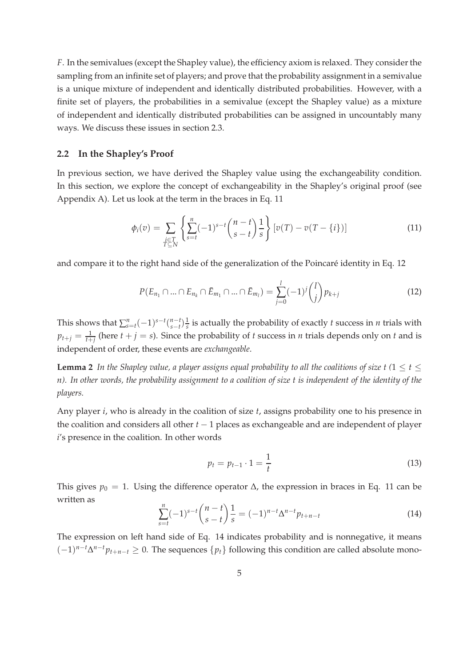*F*. In the semivalues (except the Shapley value), the efficiency axiom is relaxed. They consider the sampling from an infinite set of players; and prove that the probability assignment in a semivalue is a unique mixture of independent and identically distributed probabilities. However, with a finite set of players, the probabilities in a semivalue (except the Shapley value) as a mixture of independent and identically distributed probabilities can be assigned in uncountably many ways. We discuss these issues in section 2.3.

#### **2.2 In the Shapley's Proof**

In previous section, we have derived the Shapley value using the exchangeability condition. In this section, we explore the concept of exchangeability in the Shapley's original proof (see Appendix A). Let us look at the term in the braces in Eq. 11

$$
\phi_i(v) = \sum_{\substack{i \in T \\ T \subseteq N}} \left\{ \sum_{s=t}^n (-1)^{s-t} \binom{n-t}{s-t} \frac{1}{s} \right\} \left[ v(T) - v(T - \{i\}) \right] \tag{11}
$$

and compare it to the right hand side of the generalization of the Poincaré identity in Eq. 12

$$
P(E_{n_1} \cap \dots \cap E_{n_k} \cap \bar{E}_{m_1} \cap \dots \cap \bar{E}_{m_l}) = \sum_{j=0}^l (-1)^j {l \choose j} p_{k+j}
$$
(12)

This shows that  $\sum_{s=t}^{n}(-1)^{s-t}\binom{n-t}{s-t}$  $\int_{s-t}^{n-t} \frac{1}{s}$  is actually the probability of exactly *t* success in *n* trials with  $p_{t+j} = \frac{1}{t+j}$  (here  $t+j = s$ ). Since the probability of *t* success in *n* trials depends only on *t* and is independent of order, these events are *exchangeable*.

**Lemma 2** *In the Shapley value, a player assigns equal probability to all the coalitions of size t (1*  $\leq$  *t*  $\leq$ *n). In other words, the probability assignment to a coalition of size t is independent of the identity of the players.*

Any player *i*, who is already in the coalition of size *t*, assigns probability one to his presence in the coalition and considers all other *t* − 1 places as exchangeable and are independent of player *i*'s presence in the coalition. In other words

$$
p_t = p_{t-1} \cdot 1 = \frac{1}{t} \tag{13}
$$

This gives  $p_0 = 1$ . Using the difference operator  $\Delta$ , the expression in braces in Eq. 11 can be written as

$$
\sum_{s=t}^{n} (-1)^{s-t} \binom{n-t}{s-t} \frac{1}{s} = (-1)^{n-t} \Delta^{n-t} p_{t+n-t}
$$
\n(14)

The expression on left hand side of Eq. 14 indicates probability and is nonnegative, it means  $(-1)^{n-t}\Delta^{n-t}p_{t+n-t}$  ≥ 0. The sequences  $\{p_t\}$  following this condition are called absolute mono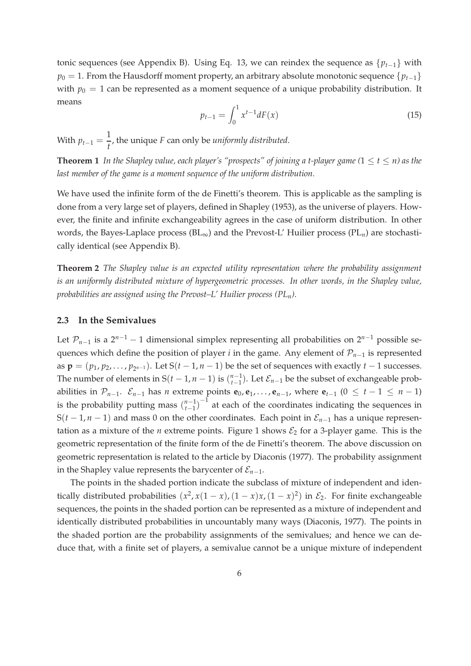tonic sequences (see Appendix B). Using Eq. 13, we can reindex the sequence as  $\{p_{t-1}\}\$  with *p*<sup>0</sup> = 1. From the Hausdorff moment property, an arbitrary absolute monotonic sequence {*p*<sup>*t*−1}</sup> with  $p_0 = 1$  can be represented as a moment sequence of a unique probability distribution. It means

$$
p_{t-1} = \int_0^1 x^{t-1} dF(x) \tag{15}
$$

With  $p_{t-1} = \frac{1}{4}$ *t* , the unique *F* can only be *uniformly distributed*.

**Theorem 1** *In the Shapley value, each player's "prospects" of joining a t-player game*  $(1 \le t \le n)$  *as the last member of the game is a moment sequence of the uniform distribution.*

We have used the infinite form of the de Finetti's theorem. This is applicable as the sampling is done from a very large set of players, defined in Shapley (1953), as the universe of players. However, the finite and infinite exchangeability agrees in the case of uniform distribution. In other words, the Bayes-Laplace process (BL∞) and the Prevost-L' Huilier process (PL*n*) are stochastically identical (see Appendix B).

**Theorem 2** *The Shapley value is an expected utility representation where the probability assignment is an uniformly distributed mixture of hypergeometric processes. In other words, in the Shapley value, probabilities are assigned using the Prevost–L' Huilier process (PLn).*

#### **2.3 In the Semivalues**

Let  $\mathcal{P}_{n-1}$  is a  $2^{n-1} - 1$  dimensional simplex representing all probabilities on  $2^{n-1}$  possible sequences which define the position of player *i* in the game. Any element of P*n*−<sup>1</sup> is represented as  $\mathbf{p} = (p_1, p_2, \ldots, p_{2^{n-1}})$ . Let  $S(t-1, n-1)$  be the set of sequences with exactly  $t-1$  successes. The number of elements in  $S(t-1, n-1)$  is  $\binom{n-1}{t-1}$  $\sum_{t=1}^{n-1}$ ). Let  $\mathcal{E}_{n-1}$  be the subset of exchangeable probabilities in  $\mathcal{P}_{n-1}$ .  $\mathcal{E}_{n-1}$  has *n* extreme points  $\mathbf{e}_0$ ,  $\mathbf{e}_1$ , ...,  $\mathbf{e}_{n-1}$ , where  $\mathbf{e}_{t-1}$  (0 ≤  $t-1 \leq n-1$ ) is the probability putting mass  $\binom{n-1}{t-1}$  $\binom{n-1}{t-1}$ <sup>-1</sup> at each of the coordinates indicating the sequences in S( $t$  − 1,  $n$  − 1) and mass 0 on the other coordinates. Each point in  $\mathcal{E}_{n-1}$  has a unique representation as a mixture of the *n* extreme points. Figure 1 shows  $\mathcal{E}_2$  for a 3-player game. This is the geometric representation of the finite form of the de Finetti's theorem. The above discussion on geometric representation is related to the article by Diaconis (1977). The probability assignment in the Shapley value represents the barycenter of  $\mathcal{E}_{n-1}$ .

The points in the shaded portion indicate the subclass of mixture of independent and identically distributed probabilities  $(x^2, x(1-x), (1-x)x, (1-x)^2)$  in  $\mathcal{E}_2$ . For finite exchangeable sequences, the points in the shaded portion can be represented as a mixture of independent and identically distributed probabilities in uncountably many ways (Diaconis, 1977). The points in the shaded portion are the probability assignments of the semivalues; and hence we can deduce that, with a finite set of players, a semivalue cannot be a unique mixture of independent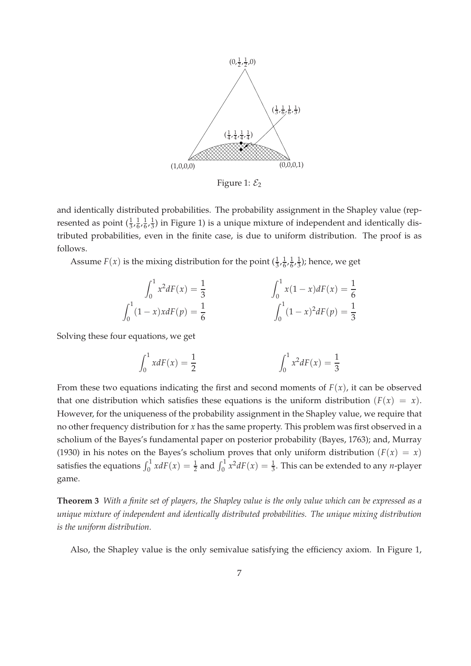

Figure 1:  $\mathcal{E}_2$ 

and identically distributed probabilities. The probability assignment in the Shapley value (represented as point  $(\frac{1}{3}, \frac{1}{6})$  $\frac{1}{6}$ ,  $\frac{1}{6}$  $\frac{1}{6}$ ,  $\frac{1}{3}$  $\frac{1}{3}$ ) in Figure 1) is a unique mixture of independent and identically distributed probabilities, even in the finite case, is due to uniform distribution. The proof is as follows.

Assume  $F(x)$  is the mixing distribution for the point  $(\frac{1}{3}, \frac{1}{6})$  $\frac{1}{6}$ ,  $\frac{1}{6}$  $\frac{1}{6}, \frac{1}{3}$  $\frac{1}{3}$ ); hence, we get

$$
\int_0^1 x^2 dF(x) = \frac{1}{3}
$$

$$
\int_0^1 x(1-x) dF(x) = \frac{1}{6}
$$

$$
\int_0^1 (1-x) x dF(p) = \frac{1}{6}
$$

$$
\int_0^1 (1-x)^2 dF(p) = \frac{1}{3}
$$

Solving these four equations, we get

$$
\int_0^1 x dF(x) = \frac{1}{2} \qquad \qquad \int_0^1 x^2 dF(x) = \frac{1}{3}
$$

From these two equations indicating the first and second moments of  $F(x)$ , it can be observed that one distribution which satisfies these equations is the uniform distribution  $(F(x) = x)$ . However, for the uniqueness of the probability assignment in the Shapley value, we require that no other frequency distribution for *x* has the same property. This problem was first observed in a scholium of the Bayes's fundamental paper on posterior probability (Bayes, 1763); and, Murray (1930) in his notes on the Bayes's scholium proves that only uniform distribution ( $F(x) = x$ ) satisfies the equations  $\int_0^1 x dF(x) = \frac{1}{2}$  and  $\int_0^1 x^2 dF(x) = \frac{1}{3}$ . This can be extended to any *n*-player game.

**Theorem 3** *With a finite set of players, the Shapley value is the only value which can be expressed as a unique mixture of independent and identically distributed probabilities. The unique mixing distribution is the uniform distribution.*

Also, the Shapley value is the only semivalue satisfying the efficiency axiom. In Figure 1,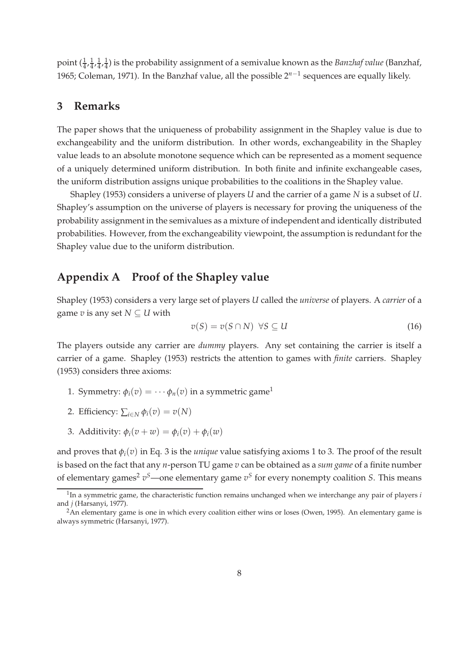point  $(\frac{1}{4}, \frac{1}{4})$  $\frac{1}{4}, \frac{1}{4}$  $\frac{1}{4}, \frac{1}{4}$  $\frac{1}{4}$ ) is the probability assignment of a semivalue known as the *Banzhaf value* (Banzhaf, 1965; Coleman, 1971). In the Banzhaf value, all the possible 2<sup>n−1</sup> sequences are equally likely.

### **3 Remarks**

The paper shows that the uniqueness of probability assignment in the Shapley value is due to exchangeability and the uniform distribution. In other words, exchangeability in the Shapley value leads to an absolute monotone sequence which can be represented as a moment sequence of a uniquely determined uniform distribution. In both finite and infinite exchangeable cases, the uniform distribution assigns unique probabilities to the coalitions in the Shapley value.

Shapley (1953) considers a universe of players *U* and the carrier of a game *N* is a subset of *U*. Shapley's assumption on the universe of players is necessary for proving the uniqueness of the probability assignment in the semivalues as a mixture of independent and identically distributed probabilities. However, from the exchangeability viewpoint, the assumption is redundant for the Shapley value due to the uniform distribution.

# **Appendix A Proof of the Shapley value**

Shapley (1953) considers a very large set of players *U* called the *universe* of players. A *carrier* of a game  $v$  is any set  $N \subseteq U$  with

$$
v(S) = v(S \cap N) \ \forall S \subseteq U \tag{16}
$$

The players outside any carrier are *dummy* players. Any set containing the carrier is itself a carrier of a game. Shapley (1953) restricts the attention to games with *finite* carriers. Shapley (1953) considers three axioms:

- 1. Symmetry:  $\phi_i(v) = \cdots \phi_n(v)$  in a symmetric game<sup>1</sup>
- 2. Efficiency:  $\sum_{i \in N} \phi_i(v) = v(N)$
- 3. Additivity:  $\phi_i(v + w) = \phi_i(v) + \phi_i(w)$

and proves that  $\phi_i(v)$  in Eq. 3 is the *unique* value satisfying axioms 1 to 3. The proof of the result is based on the fact that any *n*-person TU game *v* can be obtained as a *sum game* of a finite number of elementary games<sup>2</sup>  $v^S$ —one elementary game  $v^S$  for every nonempty coalition *S*. This means

<sup>&</sup>lt;sup>1</sup>In a symmetric game, the characteristic function remains unchanged when we interchange any pair of players *i* and *j* (Harsanyi, 1977).

<sup>&</sup>lt;sup>2</sup>An elementary game is one in which every coalition either wins or loses (Owen, 1995). An elementary game is always symmetric (Harsanyi, 1977).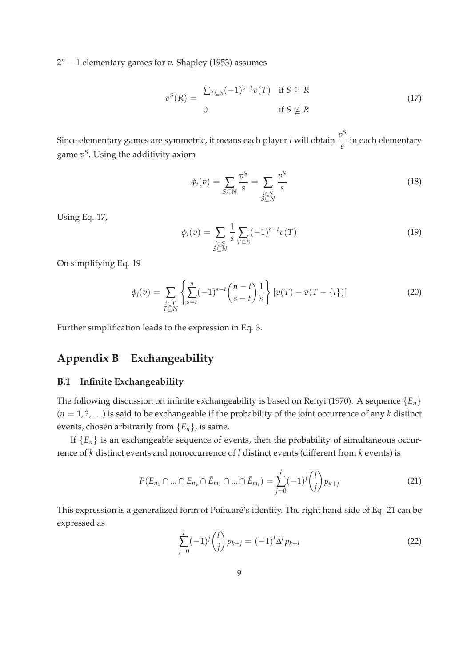2 *<sup>n</sup>* − 1 elementary games for *v*. Shapley (1953) assumes

$$
v^{S}(R) = \frac{\sum_{T \subseteq S} (-1)^{s-t} v(T) \quad \text{if } S \subseteq R}{0 \quad \text{if } S \nsubseteq R}
$$
 (17)

Since elementary games are symmetric, it means each player *i* will obtain  $\frac{v^S}{\cdot}$ *s* in each elementary game *v S* . Using the additivity axiom

$$
\phi_i(v) = \sum_{S \subseteq N} \frac{v^S}{s} = \sum_{\substack{i \in S \\ S \subseteq N}} \frac{v^S}{s}
$$
\n(18)

Using Eq. 17,

$$
\phi_i(v) = \sum_{\substack{i \in S \\ S \subseteq N}} \frac{1}{s} \sum_{T \subseteq S} (-1)^{s-t} v(T)
$$
\n(19)

On simplifying Eq. 19

$$
\phi_i(v) = \sum_{\substack{i \in T \\ T \subseteq N}} \left\{ \sum_{s=t}^n (-1)^{s-t} \binom{n-t}{s-t} \frac{1}{s} \right\} \left[ v(T) - v(T - \{i\}) \right] \tag{20}
$$

Further simplification leads to the expression in Eq. 3.

# **Appendix B Exchangeability**

#### **B.1 Infinite Exchangeability**

The following discussion on infinite exchangeability is based on Renyi (1970). A sequence {*En*} (*n* = 1, 2, . . .) is said to be exchangeable if the probability of the joint occurrence of any *k* distinct events, chosen arbitrarily from  ${E_n}$ , is same.

If  ${E_n}$  is an exchangeable sequence of events, then the probability of simultaneous occurrence of *k* distinct events and nonoccurrence of *l* distinct events (different from *k* events) is

$$
P(E_{n_1} \cap \dots \cap E_{n_k} \cap \bar{E}_{m_1} \cap \dots \cap \bar{E}_{m_l}) = \sum_{j=0}^l (-1)^j {l \choose j} p_{k+j}
$$
(21)

This expression is a generalized form of Poincaré's identity. The right hand side of Eq. 21 can be expressed as

$$
\sum_{j=0}^{l} (-1)^{j} {l \choose j} p_{k+j} = (-1)^{l} \Delta^{l} p_{k+l}
$$
\n(22)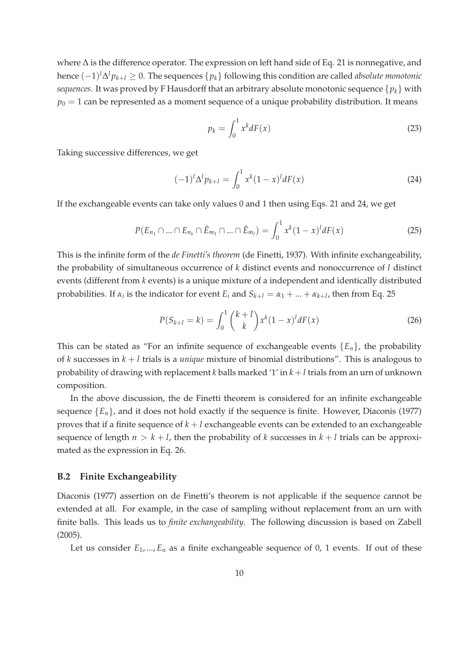where ∆ is the difference operator. The expression on left hand side of Eq. 21 is nonnegative, and hence (−1) *l*∆ *<sup>l</sup> pk*+*<sup>l</sup>* ≥ 0. The sequences {*pk*} following this condition are called *absolute monotonic sequences*. It was proved by F Hausdorff that an arbitrary absolute monotonic sequence {*pk*} with  $p_0 = 1$  can be represented as a moment sequence of a unique probability distribution. It means

$$
p_k = \int_0^1 x^k dF(x) \tag{23}
$$

Taking successive differences, we get

$$
(-1)^{l} \Delta^{l} p_{k+l} = \int_{0}^{1} x^{k} (1-x)^{l} dF(x)
$$
\n(24)

If the exchangeable events can take only values 0 and 1 then using Eqs. 21 and 24, we get

$$
P(E_{n_1} \cap \dots \cap E_{n_k} \cap \bar{E}_{m_1} \cap \dots \cap \bar{E}_{m_l}) = \int_0^1 x^k (1-x)^l dF(x)
$$
 (25)

This is the infinite form of the *de Finetti's theorem* (de Finetti, 1937). With infinite exchangeability, the probability of simultaneous occurrence of *k* distinct events and nonoccurrence of *l* distinct events (different from *k* events) is a unique mixture of a independent and identically distributed probabilities. If  $\alpha_i$  is the indicator for event  $E_i$  and  $S_{k+l} = \alpha_1 + ... + \alpha_{k+l}$ , then from Eq. 25

$$
P(S_{k+l} = k) = \int_0^1 {k+l \choose k} x^k (1-x)^l dF(x)
$$
 (26)

This can be stated as "For an infinite sequence of exchangeable events  ${E_n}$ , the probability of *k* successes in *k* + *l* trials is a *unique* mixture of binomial distributions". This is analogous to probability of drawing with replacement *k* balls marked '1' in *k* + *l* trials from an urn of unknown composition.

In the above discussion, the de Finetti theorem is considered for an infinite exchangeable sequence  ${E_n}$ , and it does not hold exactly if the sequence is finite. However, Diaconis (1977) proves that if a finite sequence of  $k + l$  exchangeable events can be extended to an exchangeable sequence of length  $n > k + l$ , then the probability of k successes in  $k + l$  trials can be approximated as the expression in Eq. 26.

#### **B.2 Finite Exchangeability**

Diaconis (1977) assertion on de Finetti's theorem is not applicable if the sequence cannot be extended at all. For example, in the case of sampling without replacement from an urn with finite balls. This leads us to *finite exchangeability*. The following discussion is based on Zabell (2005).

Let us consider  $E_1$ , ...,  $E_n$  as a finite exchangeable sequence of 0, 1 events. If out of these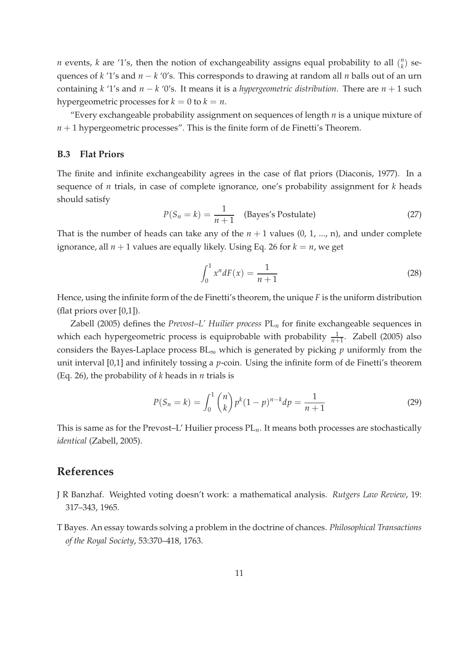*n* events, *k* are '1's, then the notion of exchangeability assigns equal probability to all ( *n*  $\binom{n}{k}$  sequences of *k* '1's and *n* − *k* '0's. This corresponds to drawing at random all *n* balls out of an urn containing *k* '1's and *n* − *k* '0's. It means it is a *hypergeometric distribution*. There are *n* + 1 such hypergeometric processes for  $k = 0$  to  $k = n$ .

"Every exchangeable probability assignment on sequences of length *n* is a unique mixture of  $n + 1$  hypergeometric processes". This is the finite form of de Finetti's Theorem.

#### **B.3 Flat Priors**

The finite and infinite exchangeability agrees in the case of flat priors (Diaconis, 1977). In a sequence of *n* trials, in case of complete ignorance, one's probability assignment for *k* heads should satisfy

$$
P(S_n = k) = \frac{1}{n+1}
$$
 (Bayes's Postulate) \t(27)

That is the number of heads can take any of the  $n + 1$  values  $(0, 1, ..., n)$ , and under complete ignorance, all  $n + 1$  values are equally likely. Using Eq. 26 for  $k = n$ , we get

$$
\int_0^1 x^n dF(x) = \frac{1}{n+1}
$$
 (28)

Hence, using the infinite form of the de Finetti's theorem, the unique *F* is the uniform distribution (flat priors over [0,1]).

Zabell (2005) defines the *Prevost–L' Huilier process* PL*<sup>n</sup>* for finite exchangeable sequences in which each hypergeometric process is equiprobable with probability  $\frac{1}{n+1}$ . Zabell (2005) also considers the Bayes-Laplace process  $BL_{\infty}$  which is generated by picking *p* uniformly from the unit interval [0,1] and infinitely tossing a *p*-coin. Using the infinite form of de Finetti's theorem (Eq. 26), the probability of *k* heads in *n* trials is

$$
P(S_n = k) = \int_0^1 {n \choose k} p^k (1-p)^{n-k} dp = \frac{1}{n+1}
$$
 (29)

This is same as for the Prevost–L' Huilier process PL*n*. It means both processes are stochastically *identical* (Zabell, 2005).

## **References**

- J R Banzhaf. Weighted voting doesn't work: a mathematical analysis. *Rutgers Law Review*, 19: 317–343, 1965.
- T Bayes. An essay towards solving a problem in the doctrine of chances. *Philosophical Transactions of the Royal Society*, 53:370–418, 1763.